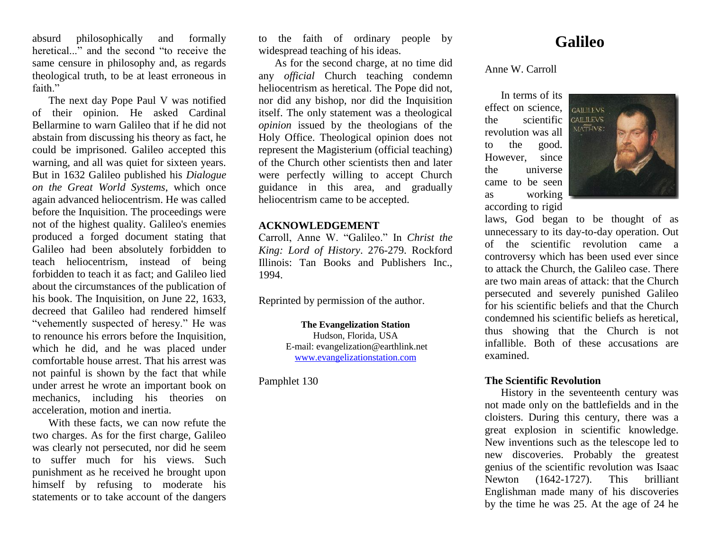absurd philosophically and formally heretical..." and the second "to receive the same censure in philosophy and, as regards theological truth, to be at least erroneous in faith."

The next day Pope Paul V was notified of their opinion. He asked Cardinal Bellarmine to warn Galileo that if he did not abstain from discussing his theory as fact, he could be imprisoned. Galileo accepted this warning, and all was quiet for sixteen years. But in 1632 Galileo published his *Dialogue on the Great World Systems*, which once again advanced heliocentrism. He was called before the Inquisition. The proceedings were not of the highest quality. Galileo's enemies produced a forged document stating that Galileo had been absolutely forbidden to teach heliocentrism, instead of being forbidden to teach it as fact; and Galileo lied about the circumstances of the publication of his book. The Inquisition, on June 22, 1633, decreed that Galileo had rendered himself "vehemently suspected of heresy." He was to renounce his errors before the Inquisition, which he did, and he was placed under comfortable house arrest. That his arrest was not painful is shown by the fact that while under arrest he wrote an important book on mechanics, including his theories on acceleration, motion and inertia.

With these facts, we can now refute the two charges. As for the first charge, Galileo was clearly not persecuted, nor did he seem to suffer much for his views. Such punishment as he received he brought upon himself by refusing to moderate his statements or to take account of the dangers

to the faith of ordinary people by widespread teaching of his ideas.

As for the second charge, at no time did any *official* Church teaching condemn heliocentrism as heretical. The Pope did not, nor did any bishop, nor did the Inquisition itself. The only statement was a theological *opinion* issued by the theologians of the Holy Office. Theological opinion does not represent the Magisterium (official teaching) of the Church other scientists then and later were perfectly willing to accept Church guidance in this area, and gradually heliocentrism came to be accepted.

## **ACKNOWLEDGEMENT**

Carroll, Anne W. "Galileo." In *Christ the King: Lord of History*. 276-279. Rockford Illinois: Tan Books and Publishers Inc., 1994.

Reprinted by permission of the author.

**The Evangelization Station** Hudson, Florida, USA E-mail: evangelization@earthlink.net [www.evangelizationstation.com](http://www.pjpiisoe.org/)

Pamphlet 130

## **Galileo**

Anne W. Carroll

In terms of its effect on science, GAUTIEVS the scientific revolution was all to the good. However, since the universe came to be seen as working according to rigid



laws, God began to be thought of as unnecessary to its day-to-day operation. Out of the scientific revolution came a controversy which has been used ever since to attack the Church, the Galileo case. There are two main areas of attack: that the Church persecuted and severely punished Galileo for his scientific beliefs and that the Church condemned his scientific beliefs as heretical, thus showing that the Church is not infallible. Both of these accusations are examined.

## **The Scientific Revolution**

History in the seventeenth century was not made only on the battlefields and in the cloisters. During this century, there was a great explosion in scientific knowledge. New inventions such as the telescope led to new discoveries. Probably the greatest genius of the scientific revolution was Isaac Newton (1642-1727). This brilliant Englishman made many of his discoveries by the time he was 25. At the age of 24 he